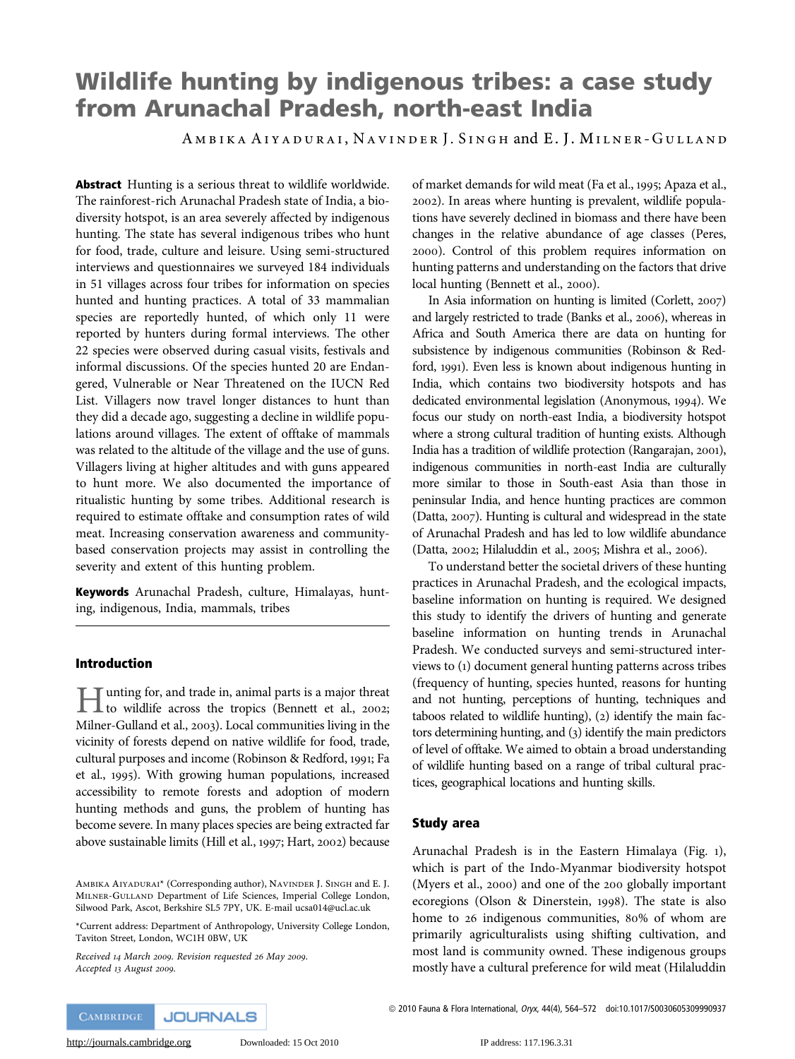# Wildlife hunting by indigenous tribes: a case study from Arunachal Pradesh, north-east India

AMBIKA AIYADURAI, NAVINDER J. SINGH and E. J. MILNER-GULLAND

Abstract Hunting is a serious threat to wildlife worldwide. The rainforest-rich Arunachal Pradesh state of India, a biodiversity hotspot, is an area severely affected by indigenous hunting. The state has several indigenous tribes who hunt for food, trade, culture and leisure. Using semi-structured interviews and questionnaires we surveyed 184 individuals in 51 villages across four tribes for information on species hunted and hunting practices. A total of 33 mammalian species are reportedly hunted, of which only 11 were reported by hunters during formal interviews. The other 22 species were observed during casual visits, festivals and informal discussions. Of the species hunted 20 are Endangered, Vulnerable or Near Threatened on the IUCN Red List. Villagers now travel longer distances to hunt than they did a decade ago, suggesting a decline in wildlife populations around villages. The extent of offtake of mammals was related to the altitude of the village and the use of guns. Villagers living at higher altitudes and with guns appeared to hunt more. We also documented the importance of ritualistic hunting by some tribes. Additional research is required to estimate offtake and consumption rates of wild meat. Increasing conservation awareness and communitybased conservation projects may assist in controlling the severity and extent of this hunting problem.

Keywords Arunachal Pradesh, culture, Himalayas, hunting, indigenous, India, mammals, tribes

#### Introduction

Hunting for, and trade in, animal parts is a major threat to wildlife across the tropics (Bennett et al., 2002; Milner-Gulland et al., 2003). Local communities living in the vicinity of forests depend on native wildlife for food, trade, cultural purposes and income (Robinson & Redford, 1991; Fa et al., 1995). With growing human populations, increased accessibility to remote forests and adoption of modern hunting methods and guns, the problem of hunting has become severe. In many places species are being extracted far above sustainable limits (Hill et al., 1997; Hart, 2002) because

Received 14 March 2009. Revision requested 26 May 2009. Accepted 13 August 2009.

of market demands for wild meat (Fa et al., 1995; Apaza et al., 2002). In areas where hunting is prevalent, wildlife populations have severely declined in biomass and there have been changes in the relative abundance of age classes (Peres, 2000). Control of this problem requires information on hunting patterns and understanding on the factors that drive local hunting (Bennett et al., 2000).

In Asia information on hunting is limited (Corlett, 2007) and largely restricted to trade (Banks et al., 2006), whereas in Africa and South America there are data on hunting for subsistence by indigenous communities (Robinson & Redford, 1991). Even less is known about indigenous hunting in India, which contains two biodiversity hotspots and has dedicated environmental legislation (Anonymous, 1994). We focus our study on north-east India, a biodiversity hotspot where a strong cultural tradition of hunting exists. Although India has a tradition of wildlife protection (Rangarajan, 2001), indigenous communities in north-east India are culturally more similar to those in South-east Asia than those in peninsular India, and hence hunting practices are common (Datta, 2007). Hunting is cultural and widespread in the state of Arunachal Pradesh and has led to low wildlife abundance (Datta, 2002; Hilaluddin et al., 2005; Mishra et al., 2006).

To understand better the societal drivers of these hunting practices in Arunachal Pradesh, and the ecological impacts, baseline information on hunting is required. We designed this study to identify the drivers of hunting and generate baseline information on hunting trends in Arunachal Pradesh. We conducted surveys and semi-structured interviews to (1) document general hunting patterns across tribes (frequency of hunting, species hunted, reasons for hunting and not hunting, perceptions of hunting, techniques and taboos related to wildlife hunting), (2) identify the main factors determining hunting, and (3) identify the main predictors of level of offtake. We aimed to obtain a broad understanding of wildlife hunting based on a range of tribal cultural practices, geographical locations and hunting skills.

#### Study area

Arunachal Pradesh is in the Eastern Himalaya (Fig. 1), which is part of the Indo-Myanmar biodiversity hotspot (Myers et al., 2000) and one of the 200 globally important ecoregions (Olson & Dinerstein, 1998). The state is also home to 26 indigenous communities, 80% of whom are primarily agriculturalists using shifting cultivation, and most land is community owned. These indigenous groups mostly have a cultural preference for wild meat (Hilaluddin

AMBIKA AIYADURAI\* (Corresponding author), NAVINDER J. SINGH and E. J. MILNER-GULLAND Department of Life Sciences, Imperial College London, Silwood Park, Ascot, Berkshire SL5 7PY, UK. E-mail ucsa014@ucl.ac.uk

<sup>\*</sup>Current address: Department of Anthropology, University College London, Taviton Street, London, WC1H 0BW, UK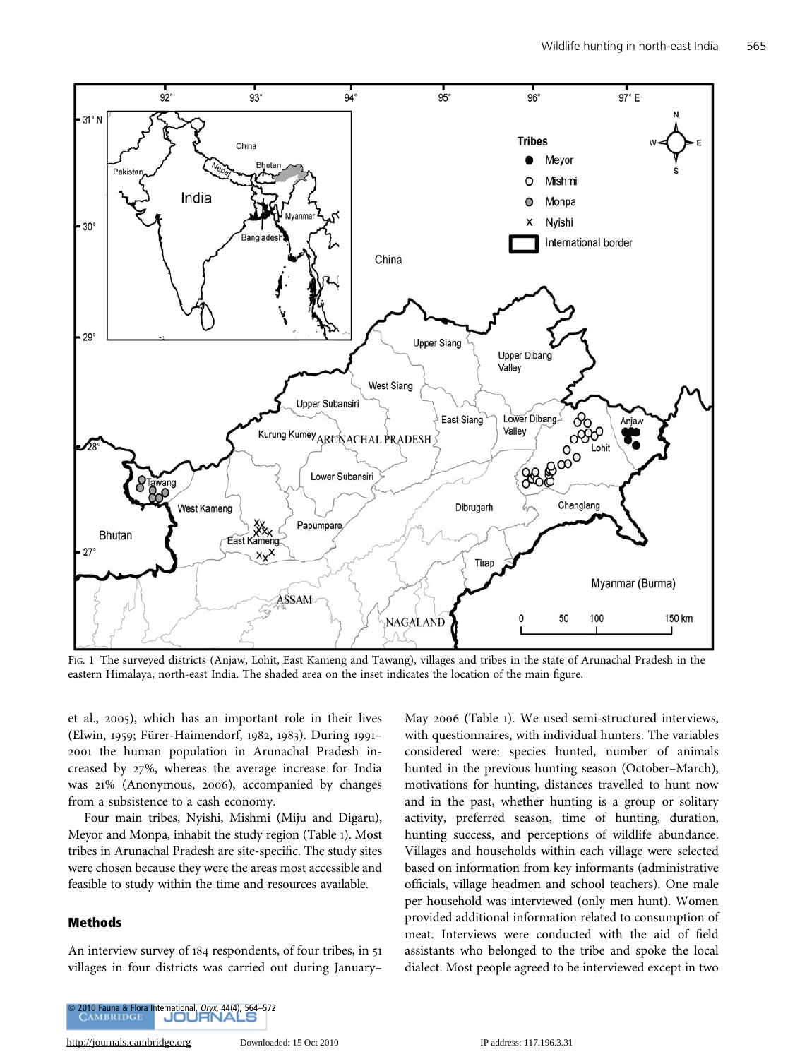

FIG. 1 The surveyed districts (Anjaw, Lohit, East Kameng and Tawang), villages and tribes in the state of Arunachal Pradesh in the eastern Himalaya, north-east India. The shaded area on the inset indicates the location of the main figure.

et al., 2005), which has an important role in their lives (Elwin, 1959; Fürer-Haimendorf, 1982, 1983). During 1991-2001 the human population in Arunachal Pradesh increased by 27%, whereas the average increase for India was 21% (Anonymous, 2006), accompanied by changes from a subsistence to a cash economy.

Four main tribes, Nyishi, Mishmi (Miju and Digaru), Meyor and Monpa, inhabit the study region (Table 1). Most tribes in Arunachal Pradesh are site-specific. The study sites were chosen because they were the areas most accessible and feasible to study within the time and resources available.

## Methods

An interview survey of 184 respondents, of four tribes, in 51 villages in four districts was carried out during January–

May 2006 (Table 1). We used semi-structured interviews, with questionnaires, with individual hunters. The variables considered were: species hunted, number of animals hunted in the previous hunting season (October–March), motivations for hunting, distances travelled to hunt now and in the past, whether hunting is a group or solitary activity, preferred season, time of hunting, duration, hunting success, and perceptions of wildlife abundance. Villages and households within each village were selected based on information from key informants (administrative officials, village headmen and school teachers). One male per household was interviewed (only men hunt). Women provided additional information related to consumption of meat. Interviews were conducted with the aid of field assistants who belonged to the tribe and spoke the local dialect. Most people agreed to be interviewed except in two

[http://journals.cambridge.org](http://www.journals.cambridge.org) Downloaded: 15 Oct 2010 IP address: 117.196.3.31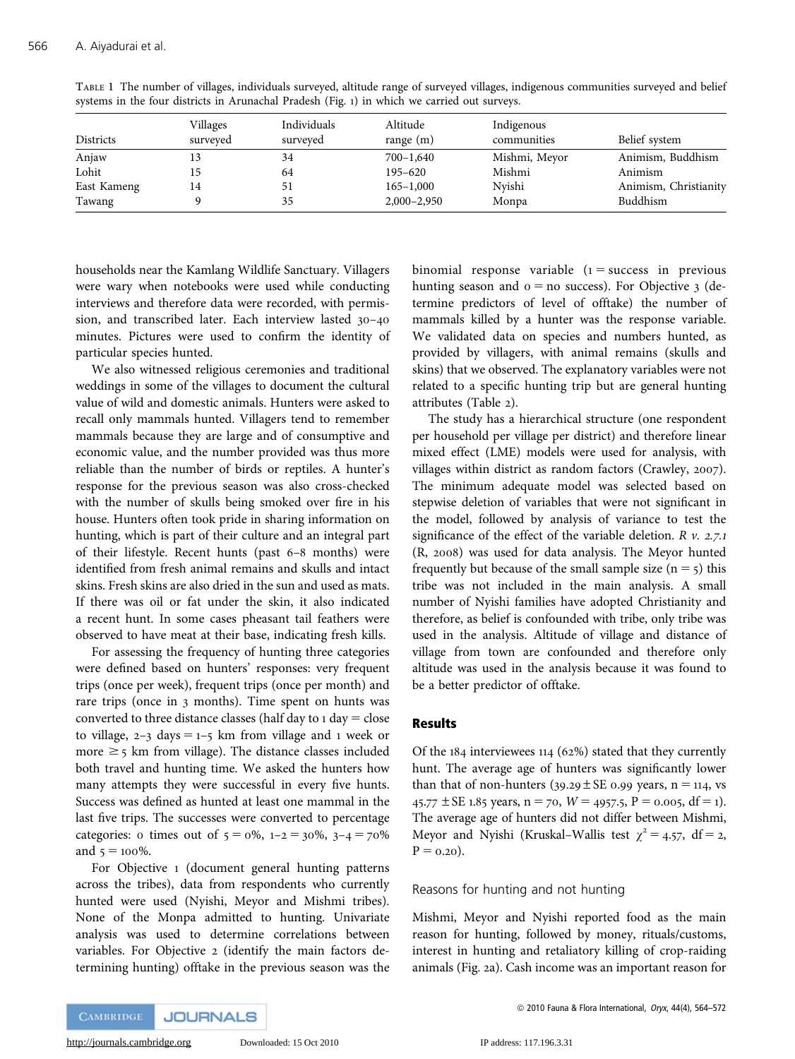| Districts   | Villages<br>surveyed | Individuals<br>surveyed | Altitude<br>range $(m)$ | Indigenous<br>communities | Belief system         |
|-------------|----------------------|-------------------------|-------------------------|---------------------------|-----------------------|
| Anjaw       |                      | 34                      | $700 - 1,640$           | Mishmi, Meyor             | Animism, Buddhism     |
| Lohit       |                      | 64                      | $195 - 620$             | Mishmi                    | Animism               |
| East Kameng | 14                   | 51                      | $165 - 1,000$           | Nvishi                    | Animism, Christianity |
| Tawang      |                      | 35                      | $2,000 - 2,950$         | Monpa                     | Buddhism              |

TABLE 1 The number of villages, individuals surveyed, altitude range of surveyed villages, indigenous communities surveyed and belief systems in the four districts in Arunachal Pradesh (Fig. 1) in which we carried out surveys.

households near the Kamlang Wildlife Sanctuary. Villagers were wary when notebooks were used while conducting interviews and therefore data were recorded, with permission, and transcribed later. Each interview lasted 30–40 minutes. Pictures were used to confirm the identity of particular species hunted.

We also witnessed religious ceremonies and traditional weddings in some of the villages to document the cultural value of wild and domestic animals. Hunters were asked to recall only mammals hunted. Villagers tend to remember mammals because they are large and of consumptive and economic value, and the number provided was thus more reliable than the number of birds or reptiles. A hunter's response for the previous season was also cross-checked with the number of skulls being smoked over fire in his house. Hunters often took pride in sharing information on hunting, which is part of their culture and an integral part of their lifestyle. Recent hunts (past 6–8 months) were identified from fresh animal remains and skulls and intact skins. Fresh skins are also dried in the sun and used as mats. If there was oil or fat under the skin, it also indicated a recent hunt. In some cases pheasant tail feathers were observed to have meat at their base, indicating fresh kills.

For assessing the frequency of hunting three categories were defined based on hunters' responses: very frequent trips (once per week), frequent trips (once per month) and rare trips (once in 3 months). Time spent on hunts was converted to three distance classes (half day to  $1 \text{ day} = \text{close}$ ) to village,  $2-3$  days =  $1-5$  km from village and 1 week or more  $\geq$  5 km from village). The distance classes included both travel and hunting time. We asked the hunters how many attempts they were successful in every five hunts. Success was defined as hunted at least one mammal in the last five trips. The successes were converted to percentage categories: 0 times out of  $5 = 0\%$ ,  $1 - 2 = 30\%$ ,  $3 - 4 = 70\%$ and  $5 = 100\%$ .

For Objective 1 (document general hunting patterns across the tribes), data from respondents who currently hunted were used (Nyishi, Meyor and Mishmi tribes). None of the Monpa admitted to hunting. Univariate analysis was used to determine correlations between variables. For Objective 2 (identify the main factors determining hunting) offtake in the previous season was the

binomial response variable  $(1 = \text{success in previous})$ hunting season and  $o = no$  success). For Objective 3 (determine predictors of level of offtake) the number of mammals killed by a hunter was the response variable. We validated data on species and numbers hunted, as provided by villagers, with animal remains (skulls and skins) that we observed. The explanatory variables were not related to a specific hunting trip but are general hunting attributes (Table 2).

The study has a hierarchical structure (one respondent per household per village per district) and therefore linear mixed effect (LME) models were used for analysis, with villages within district as random factors (Crawley, 2007). The minimum adequate model was selected based on stepwise deletion of variables that were not significant in the model, followed by analysis of variance to test the significance of the effect of the variable deletion.  $R$   $v$ . 2.7.1 (R, 2008) was used for data analysis. The Meyor hunted frequently but because of the small sample size  $(n = 5)$  this tribe was not included in the main analysis. A small number of Nyishi families have adopted Christianity and therefore, as belief is confounded with tribe, only tribe was used in the analysis. Altitude of village and distance of village from town are confounded and therefore only altitude was used in the analysis because it was found to be a better predictor of offtake.

#### Results

Of the 184 interviewees 114 (62%) stated that they currently hunt. The average age of hunters was significantly lower than that of non-hunters ( $39.29 \pm SE$  0.99 years, n = 114, vs 45.77  $\pm$  SE 1.85 years, n = 70, W = 4957.5, P = 0.005, df = 1). The average age of hunters did not differ between Mishmi, Meyor and Nyishi (Kruskal–Wallis test  $\chi^2 = 4.57$ , df = 2,  $P = 0.20$ ).

Reasons for hunting and not hunting

Mishmi, Meyor and Nyishi reported food as the main reason for hunting, followed by money, rituals/customs, interest in hunting and retaliatory killing of crop-raiding animals (Fig. 2a). Cash income was an important reason for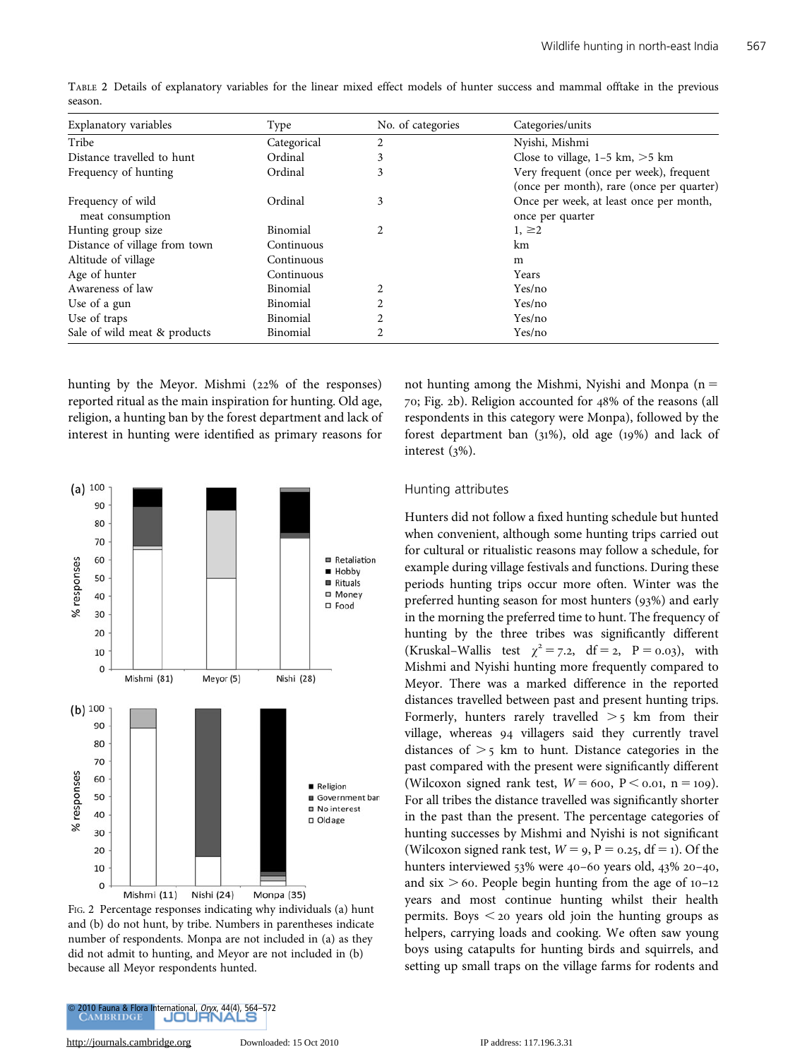| Explanatory variables                       | Type        | No. of categories | Categories/units                          |
|---------------------------------------------|-------------|-------------------|-------------------------------------------|
| Tribe                                       | Categorical | 2                 | Nyishi, Mishmi                            |
| Distance travelled to hunt                  | Ordinal     | 3                 | Close to village, $1-5$ km, $>5$ km       |
| Frequency of hunting                        | Ordinal     | 3                 | Very frequent (once per week), frequent   |
|                                             |             |                   | (once per month), rare (once per quarter) |
| Frequency of wild                           | Ordinal     | 3                 | Once per week, at least once per month,   |
| meat consumption                            |             |                   | once per quarter                          |
| Hunting group size                          | Binomial    | 2                 | $1, \geq 2$                               |
| Distance of village from town<br>Continuous |             |                   | km                                        |
| Altitude of village                         | Continuous  |                   | m                                         |
| Age of hunter                               | Continuous  |                   | Years                                     |
| Awareness of law                            | Binomial    | 2                 | Yes/no                                    |
| Use of a gun                                | Binomial    | 2                 | Yes/no                                    |
| Use of traps                                | Binomial    | 2                 | Yes/no                                    |
| Sale of wild meat & products                | Binomial    | 2                 | Yes/no                                    |

TABLE 2 Details of explanatory variables for the linear mixed effect models of hunter success and mammal offtake in the previous season.

hunting by the Meyor. Mishmi (22% of the responses) reported ritual as the main inspiration for hunting. Old age, religion, a hunting ban by the forest department and lack of interest in hunting were identified as primary reasons for



FIG. 2 Percentage responses indicating why individuals (a) hunt and (b) do not hunt, by tribe. Numbers in parentheses indicate number of respondents. Monpa are not included in (a) as they did not admit to hunting, and Meyor are not included in (b) because all Meyor respondents hunted.

not hunting among the Mishmi, Nyishi and Monpa  $(n =$ 70; Fig. 2b). Religion accounted for 48% of the reasons (all respondents in this category were Monpa), followed by the forest department ban (31%), old age (19%) and lack of interest (3%).

#### Hunting attributes

Hunters did not follow a fixed hunting schedule but hunted when convenient, although some hunting trips carried out for cultural or ritualistic reasons may follow a schedule, for example during village festivals and functions. During these periods hunting trips occur more often. Winter was the preferred hunting season for most hunters (93%) and early in the morning the preferred time to hunt. The frequency of hunting by the three tribes was significantly different (Kruskal–Wallis test  $\chi^2 = 7.2$ , df = 2, P = 0.03), with Mishmi and Nyishi hunting more frequently compared to Meyor. There was a marked difference in the reported distances travelled between past and present hunting trips. Formerly, hunters rarely travelled  $>$  5 km from their village, whereas 94 villagers said they currently travel distances of  $\geq$  5 km to hunt. Distance categories in the past compared with the present were significantly different (Wilcoxon signed rank test,  $W = 600$ ,  $P < 0.01$ , n = 109). For all tribes the distance travelled was significantly shorter in the past than the present. The percentage categories of hunting successes by Mishmi and Nyishi is not significant (Wilcoxon signed rank test,  $W = 9$ ,  $P = 0.25$ , df = 1). Of the hunters interviewed 53% were 40–60 years old, 43% 20–40, and six  $> 60$ . People begin hunting from the age of 10–12 years and most continue hunting whilst their health permits. Boys  $\leq$  20 years old join the hunting groups as helpers, carrying loads and cooking. We often saw young boys using catapults for hunting birds and squirrels, and setting up small traps on the village farms for rodents and

2010 Fauna & Flora International, *Oryx*, 44(4), 564–672<br>
CAMBRIDGE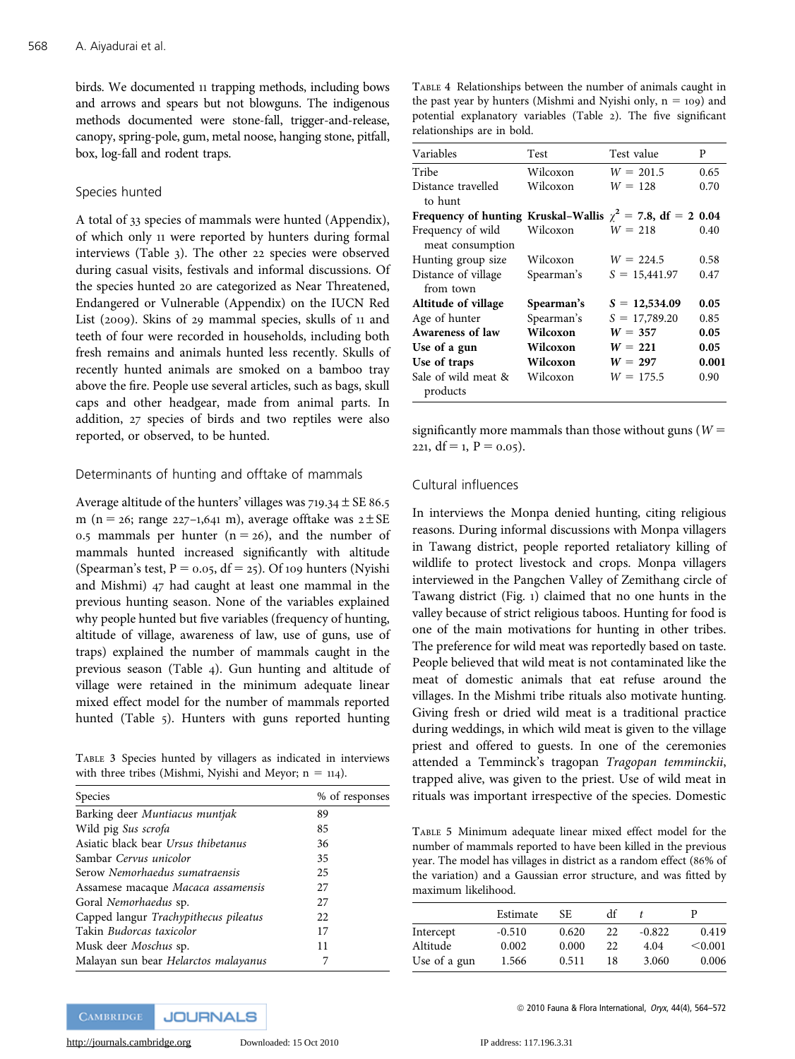birds. We documented 11 trapping methods, including bows and arrows and spears but not blowguns. The indigenous methods documented were stone-fall, trigger-and-release, canopy, spring-pole, gum, metal noose, hanging stone, pitfall, box, log-fall and rodent traps.

## Species hunted

A total of 33 species of mammals were hunted (Appendix), of which only 11 were reported by hunters during formal interviews (Table 3). The other 22 species were observed during casual visits, festivals and informal discussions. Of the species hunted 20 are categorized as Near Threatened, Endangered or Vulnerable (Appendix) on the IUCN Red List (2009). Skins of 29 mammal species, skulls of 11 and teeth of four were recorded in households, including both fresh remains and animals hunted less recently. Skulls of recently hunted animals are smoked on a bamboo tray above the fire. People use several articles, such as bags, skull caps and other headgear, made from animal parts. In addition, 27 species of birds and two reptiles were also reported, or observed, to be hunted.

## Determinants of hunting and offtake of mammals

Average altitude of the hunters' villages was  $719.34 \pm SE86.5$ m (n = 26; range 227–1,641 m), average offtake was  $2 \pm SE$ 0.5 mammals per hunter  $(n = 26)$ , and the number of mammals hunted increased significantly with altitude (Spearman's test,  $P = 0.05$ , df = 25). Of 109 hunters (Nyishi and Mishmi) 47 had caught at least one mammal in the previous hunting season. None of the variables explained why people hunted but five variables (frequency of hunting, altitude of village, awareness of law, use of guns, use of traps) explained the number of mammals caught in the previous season (Table 4). Gun hunting and altitude of village were retained in the minimum adequate linear mixed effect model for the number of mammals reported hunted (Table 5). Hunters with guns reported hunting

TABLE 3 Species hunted by villagers as indicated in interviews with three tribes (Mishmi, Nyishi and Meyor;  $n = 114$ ).

| Species                               | % of responses |
|---------------------------------------|----------------|
| Barking deer Muntiacus muntjak        | 89             |
| Wild pig Sus scrofa                   | 85             |
| Asiatic black bear Ursus thibetanus   | 36             |
| Sambar Cervus unicolor                | 35             |
| Serow Nemorhaedus sumatraensis        | 25             |
| Assamese macaque Macaca assamensis    | 27             |
| Goral Nemorhaedus sp.                 | 27             |
| Capped langur Trachypithecus pileatus | 22             |
| Takin <i>Budorcas taxicolor</i>       | 17             |
| Musk deer <i>Moschus</i> sp.          | 11             |
| Malayan sun bear Helarctos malayanus  |                |

TABLE 4 Relationships between the number of animals caught in the past year by hunters (Mishmi and Nyishi only,  $n = 109$ ) and potential explanatory variables (Table 2). The five significant relationships are in bold.

| Variables                                                       | Test       | Test value      | P     |
|-----------------------------------------------------------------|------------|-----------------|-------|
| Tribe                                                           | Wilcoxon   | $W = 201.5$     | 0.65  |
| Distance travelled                                              | Wilcoxon   | $W = 128$       | 0.70  |
| to hunt                                                         |            |                 |       |
| Frequency of hunting Kruskal-Wallis $\chi^2$ = 7.8, df = 2 0.04 |            |                 |       |
| Frequency of wild                                               | Wilcoxon   | $W = 218$       | 0.40  |
| meat consumption                                                |            |                 |       |
| Hunting group size                                              | Wilcoxon   | $W = 224.5$     | 0.58  |
| Distance of village                                             | Spearman's | $S = 15,441.97$ | 0.47  |
| from town                                                       |            |                 |       |
| Altitude of village                                             | Spearman's | $S = 12,534.09$ | 0.05  |
| Age of hunter                                                   | Spearman's | $S = 17,789.20$ | 0.85  |
| Awareness of law                                                | Wilcoxon   | $W = 357$       | 0.05  |
| Use of a gun                                                    | Wilcoxon   | $W = 221$       | 0.05  |
| Use of traps                                                    | Wilcoxon   | $W = 297$       | 0.001 |
| Sale of wild meat &                                             | Wilcoxon   | $W = 175.5$     | 0.90  |
| products                                                        |            |                 |       |

significantly more mammals than those without guns ( $W =$ 221,  $df = 1$ ,  $P = 0.05$ ).

## Cultural influences

In interviews the Monpa denied hunting, citing religious reasons. During informal discussions with Monpa villagers in Tawang district, people reported retaliatory killing of wildlife to protect livestock and crops. Monpa villagers interviewed in the Pangchen Valley of Zemithang circle of Tawang district (Fig. 1) claimed that no one hunts in the valley because of strict religious taboos. Hunting for food is one of the main motivations for hunting in other tribes. The preference for wild meat was reportedly based on taste. People believed that wild meat is not contaminated like the meat of domestic animals that eat refuse around the villages. In the Mishmi tribe rituals also motivate hunting. Giving fresh or dried wild meat is a traditional practice during weddings, in which wild meat is given to the village priest and offered to guests. In one of the ceremonies attended a Temminck's tragopan Tragopan temminckii, trapped alive, was given to the priest. Use of wild meat in rituals was important irrespective of the species. Domestic

TABLE 5 Minimum adequate linear mixed effect model for the number of mammals reported to have been killed in the previous year. The model has villages in district as a random effect (86% of the variation) and a Gaussian error structure, and was fitted by maximum likelihood.

|              | Estimate | SE.   | df |          | D       |
|--------------|----------|-------|----|----------|---------|
| Intercept    | $-0.510$ | 0.620 | 22 | $-0.822$ | 0.419   |
| Altitude     | 0.002    | 0.000 | 22 | 4.04     | < 0.001 |
| Use of a gun | 1.566    | 0.511 | 18 | 3.060    | 0.006   |

[http://journals.cambridge.org](http://www.journals.cambridge.org) Downloaded: 15 Oct 2010 IP address: 117.196.3.31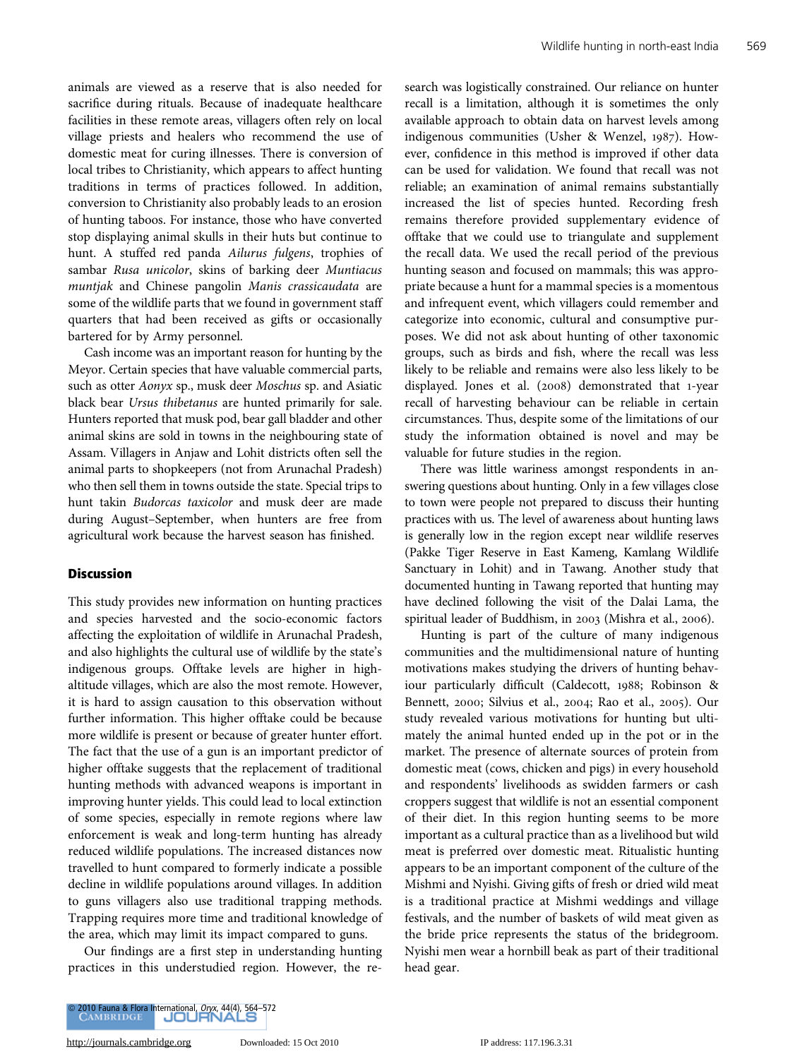animals are viewed as a reserve that is also needed for sacrifice during rituals. Because of inadequate healthcare facilities in these remote areas, villagers often rely on local village priests and healers who recommend the use of domestic meat for curing illnesses. There is conversion of local tribes to Christianity, which appears to affect hunting traditions in terms of practices followed. In addition, conversion to Christianity also probably leads to an erosion of hunting taboos. For instance, those who have converted stop displaying animal skulls in their huts but continue to hunt. A stuffed red panda Ailurus fulgens, trophies of sambar Rusa unicolor, skins of barking deer Muntiacus muntjak and Chinese pangolin Manis crassicaudata are some of the wildlife parts that we found in government staff quarters that had been received as gifts or occasionally bartered for by Army personnel.

Cash income was an important reason for hunting by the Meyor. Certain species that have valuable commercial parts, such as otter Aonyx sp., musk deer Moschus sp. and Asiatic black bear Ursus thibetanus are hunted primarily for sale. Hunters reported that musk pod, bear gall bladder and other animal skins are sold in towns in the neighbouring state of Assam. Villagers in Anjaw and Lohit districts often sell the animal parts to shopkeepers (not from Arunachal Pradesh) who then sell them in towns outside the state. Special trips to hunt takin Budorcas taxicolor and musk deer are made during August–September, when hunters are free from agricultural work because the harvest season has finished.

#### **Discussion**

This study provides new information on hunting practices and species harvested and the socio-economic factors affecting the exploitation of wildlife in Arunachal Pradesh, and also highlights the cultural use of wildlife by the state's indigenous groups. Offtake levels are higher in highaltitude villages, which are also the most remote. However, it is hard to assign causation to this observation without further information. This higher offtake could be because more wildlife is present or because of greater hunter effort. The fact that the use of a gun is an important predictor of higher offtake suggests that the replacement of traditional hunting methods with advanced weapons is important in improving hunter yields. This could lead to local extinction of some species, especially in remote regions where law enforcement is weak and long-term hunting has already reduced wildlife populations. The increased distances now travelled to hunt compared to formerly indicate a possible decline in wildlife populations around villages. In addition to guns villagers also use traditional trapping methods. Trapping requires more time and traditional knowledge of the area, which may limit its impact compared to guns.

Our findings are a first step in understanding hunting practices in this understudied region. However, the research was logistically constrained. Our reliance on hunter recall is a limitation, although it is sometimes the only available approach to obtain data on harvest levels among indigenous communities (Usher & Wenzel, 1987). However, confidence in this method is improved if other data can be used for validation. We found that recall was not reliable; an examination of animal remains substantially increased the list of species hunted. Recording fresh remains therefore provided supplementary evidence of offtake that we could use to triangulate and supplement the recall data. We used the recall period of the previous hunting season and focused on mammals; this was appropriate because a hunt for a mammal species is a momentous and infrequent event, which villagers could remember and categorize into economic, cultural and consumptive purposes. We did not ask about hunting of other taxonomic groups, such as birds and fish, where the recall was less likely to be reliable and remains were also less likely to be displayed. Jones et al. (2008) demonstrated that 1-year recall of harvesting behaviour can be reliable in certain circumstances. Thus, despite some of the limitations of our study the information obtained is novel and may be valuable for future studies in the region.

There was little wariness amongst respondents in answering questions about hunting. Only in a few villages close to town were people not prepared to discuss their hunting practices with us. The level of awareness about hunting laws is generally low in the region except near wildlife reserves (Pakke Tiger Reserve in East Kameng, Kamlang Wildlife Sanctuary in Lohit) and in Tawang. Another study that documented hunting in Tawang reported that hunting may have declined following the visit of the Dalai Lama, the spiritual leader of Buddhism, in 2003 (Mishra et al., 2006).

Hunting is part of the culture of many indigenous communities and the multidimensional nature of hunting motivations makes studying the drivers of hunting behaviour particularly difficult (Caldecott, 1988; Robinson & Bennett, 2000; Silvius et al., 2004; Rao et al., 2005). Our study revealed various motivations for hunting but ultimately the animal hunted ended up in the pot or in the market. The presence of alternate sources of protein from domestic meat (cows, chicken and pigs) in every household and respondents' livelihoods as swidden farmers or cash croppers suggest that wildlife is not an essential component of their diet. In this region hunting seems to be more important as a cultural practice than as a livelihood but wild meat is preferred over domestic meat. Ritualistic hunting appears to be an important component of the culture of the Mishmi and Nyishi. Giving gifts of fresh or dried wild meat is a traditional practice at Mishmi weddings and village festivals, and the number of baskets of wild meat given as the bride price represents the status of the bridegroom. Nyishi men wear a hornbill beak as part of their traditional head gear.



[http://journals.cambridge.org](http://www.journals.cambridge.org) Downloaded: 15 Oct 2010 IP address: 117.196.3.31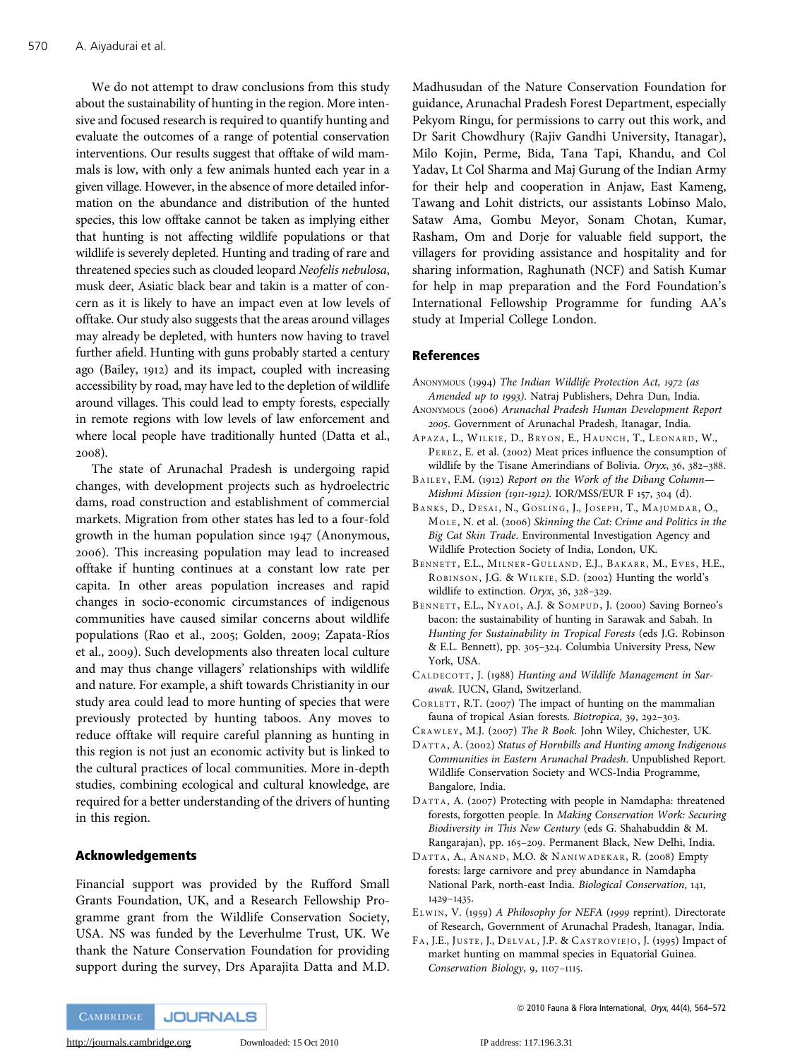We do not attempt to draw conclusions from this study about the sustainability of hunting in the region. More intensive and focused research is required to quantify hunting and evaluate the outcomes of a range of potential conservation interventions. Our results suggest that offtake of wild mammals is low, with only a few animals hunted each year in a given village. However, in the absence of more detailed information on the abundance and distribution of the hunted species, this low offtake cannot be taken as implying either that hunting is not affecting wildlife populations or that wildlife is severely depleted. Hunting and trading of rare and threatened species such as clouded leopard Neofelis nebulosa, musk deer, Asiatic black bear and takin is a matter of concern as it is likely to have an impact even at low levels of offtake. Our study also suggests that the areas around villages may already be depleted, with hunters now having to travel further afield. Hunting with guns probably started a century ago (Bailey, 1912) and its impact, coupled with increasing accessibility by road, may have led to the depletion of wildlife around villages. This could lead to empty forests, especially in remote regions with low levels of law enforcement and where local people have traditionally hunted (Datta et al., 2008).

The state of Arunachal Pradesh is undergoing rapid changes, with development projects such as hydroelectric dams, road construction and establishment of commercial markets. Migration from other states has led to a four-fold growth in the human population since 1947 (Anonymous, 2006). This increasing population may lead to increased offtake if hunting continues at a constant low rate per capita. In other areas population increases and rapid changes in socio-economic circumstances of indigenous communities have caused similar concerns about wildlife populations (Rao et al., 2005; Golden, 2009; Zapata-Rı´os et al., 2009). Such developments also threaten local culture and may thus change villagers' relationships with wildlife and nature. For example, a shift towards Christianity in our study area could lead to more hunting of species that were previously protected by hunting taboos. Any moves to reduce offtake will require careful planning as hunting in this region is not just an economic activity but is linked to the cultural practices of local communities. More in-depth studies, combining ecological and cultural knowledge, are required for a better understanding of the drivers of hunting in this region.

## Acknowledgements

Financial support was provided by the Rufford Small Grants Foundation, UK, and a Research Fellowship Programme grant from the Wildlife Conservation Society, USA. NS was funded by the Leverhulme Trust, UK. We thank the Nature Conservation Foundation for providing support during the survey, Drs Aparajita Datta and M.D.

Madhusudan of the Nature Conservation Foundation for guidance, Arunachal Pradesh Forest Department, especially Pekyom Ringu, for permissions to carry out this work, and Dr Sarit Chowdhury (Rajiv Gandhi University, Itanagar), Milo Kojin, Perme, Bida, Tana Tapi, Khandu, and Col Yadav, Lt Col Sharma and Maj Gurung of the Indian Army for their help and cooperation in Anjaw, East Kameng, Tawang and Lohit districts, our assistants Lobinso Malo, Sataw Ama, Gombu Meyor, Sonam Chotan, Kumar, Rasham, Om and Dorje for valuable field support, the villagers for providing assistance and hospitality and for sharing information, Raghunath (NCF) and Satish Kumar for help in map preparation and the Ford Foundation's International Fellowship Programme for funding AA's study at Imperial College London.

#### References

- ANONYMOUS (1994) The Indian Wildlife Protection Act, 1972 (as Amended up to 1993). Natraj Publishers, Dehra Dun, India.
- ANONYMOUS (2006) Arunachal Pradesh Human Development Report 2005. Government of Arunachal Pradesh, Itanagar, India.
- APAZA, L., WILKIE, D., BRYON, E., HAUNCH, T., LEONARD, W., PEREZ, E. et al. (2002) Meat prices influence the consumption of wildlife by the Tisane Amerindians of Bolivia. Oryx, 36, 382–388.
- BAILEY, F.M. (1912) Report on the Work of the Dibang Column— Mishmi Mission (1911-1912). IOR/MSS/EUR F 157, 304 (d).
- BANKS, D., DESAI, N., GOSLING, J., JOSEPH, T., MAJUMDAR, O., MOLE , N. et al. (2006) Skinning the Cat: Crime and Politics in the Big Cat Skin Trade. Environmental Investigation Agency and Wildlife Protection Society of India, London, UK.
- BENNETT, E.L., MILNER-GULLAND, E.J., BAKARR, M., EVES, H.E., ROBINSON, J.G. & WILKIE, S.D. (2002) Hunting the world's wildlife to extinction. Oryx, 36, 328–329.
- BENNETT, E.L., NYAOI, A.J. & SOMPUD, J. (2000) Saving Borneo's bacon: the sustainability of hunting in Sarawak and Sabah. In Hunting for Sustainability in Tropical Forests (eds J.G. Robinson & E.L. Bennett), pp. 305–324. Columbia University Press, New York, USA.
- CALDECOTT, J. (1988) Hunting and Wildlife Management in Sarawak. IUCN, Gland, Switzerland.
- C ORLETT, R.T. (2007) The impact of hunting on the mammalian fauna of tropical Asian forests. Biotropica, 39, 292–303.
- CRAWLEY, M.J. (2007) The R Book. John Wiley, Chichester, UK.
- DATTA, A. (2002) Status of Hornbills and Hunting among Indigenous Communities in Eastern Arunachal Pradesh. Unpublished Report. Wildlife Conservation Society and WCS-India Programme, Bangalore, India.
- DATTA, A. (2007) Protecting with people in Namdapha: threatened forests, forgotten people. In Making Conservation Work: Securing Biodiversity in This New Century (eds G. Shahabuddin & M. Rangarajan), pp. 165–209. Permanent Black, New Delhi, India.
- DATTA, A., A NAND , M.O. & NANIWADEKAR, R. (2008) Empty forests: large carnivore and prey abundance in Namdapha National Park, north-east India. Biological Conservation, 141, 1429–1435.
- ELWIN, V. (1959) A Philosophy for NEFA (1999 reprint). Directorate of Research, Government of Arunachal Pradesh, Itanagar, India.
- FA, J.E., JUSTE, J., DELVAL, J.P. & CASTROVIEJO, J. (1995) Impact of market hunting on mammal species in Equatorial Guinea. Conservation Biology, 9, 1107–1115.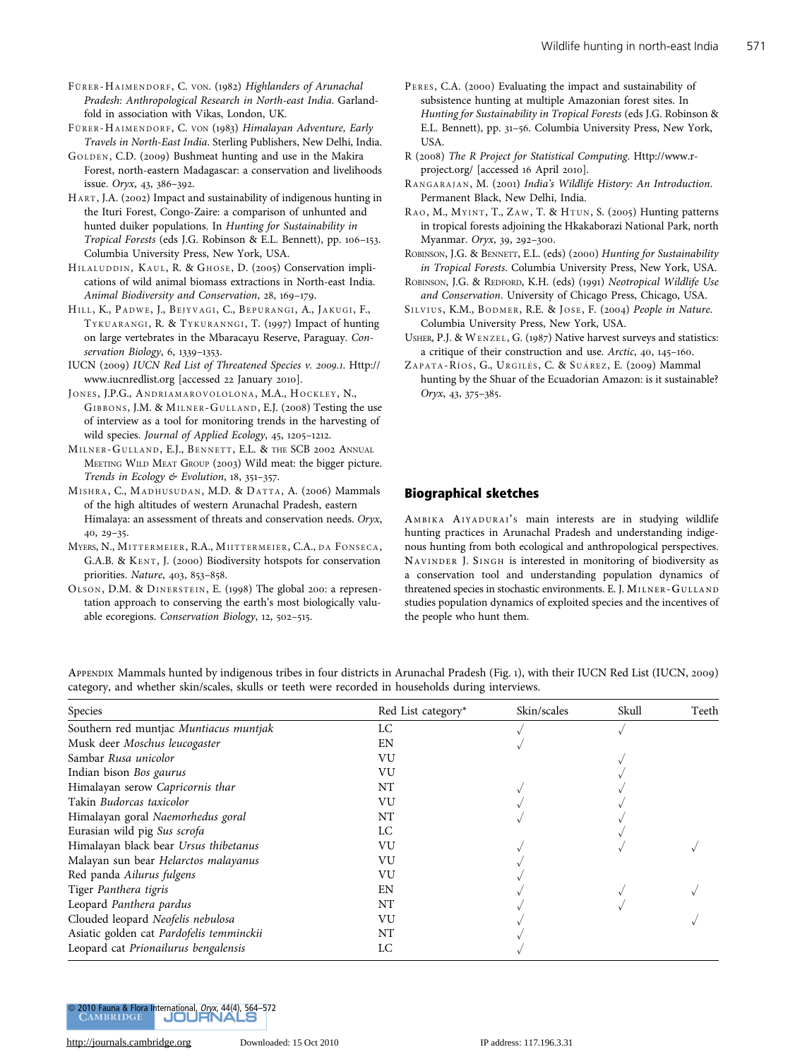FÜRER-HAIMENDORF, C. VON. (1982) Highlanders of Arunachal Pradesh: Anthropological Research in North-east India. Garlandfold in association with Vikas, London, UK.

FÜRER-HAIMENDORF, C. VON (1983) Himalayan Adventure, Early Travels in North-East India. Sterling Publishers, New Delhi, India.

G OLDEN , C.D. (2009) Bushmeat hunting and use in the Makira Forest, north-eastern Madagascar: a conservation and livelihoods issue. Oryx, 43, 386–392.

HART, J.A. (2002) Impact and sustainability of indigenous hunting in the Ituri Forest, Congo-Zaire: a comparison of unhunted and hunted duiker populations. In Hunting for Sustainability in Tropical Forests (eds J.G. Robinson & E.L. Bennett), pp. 106–153. Columbia University Press, New York, USA.

HILALUDDIN, KAUL, R. & GHOSE, D. (2005) Conservation implications of wild animal biomass extractions in North-east India. Animal Biodiversity and Conservation, 28, 169–179.

HILL, K., PADWE, J., BEJYVAGI, C., BEPURANGI, A., JAKUGI, F., TYKUARANGI, R. & TYKURANNGI, T. (1997) Impact of hunting on large vertebrates in the Mbaracayu Reserve, Paraguay. Conservation Biology, 6, 1339–1353.

IUCN (2009) IUCN Red List of Threatened Species v. 2009.1. Http:// www.iucnredlist.org [accessed 22 January 2010].

JONES, J.P.G., ANDRIAMAROVOLOLONA, M.A., HOCKLEY, N., GIBBONS , J.M. & MILNER-G ULLAND , E.J. (2008) Testing the use of interview as a tool for monitoring trends in the harvesting of wild species. Journal of Applied Ecology, 45, 1205–1212.

MILNER-GULLAND, E.J., BENNETT, E.L. & THE SCB 2002 ANNUAL MEETING WILD MEAT GROUP (2003) Wild meat: the bigger picture. Trends in Ecology & Evolution, 18, 351–357.

MISHRA, C., MADHUSUDAN , M.D. & DATTA, A. (2006) Mammals of the high altitudes of western Arunachal Pradesh, eastern Himalaya: an assessment of threats and conservation needs. Oryx, 40, 29–35.

MYERS, N., MITTERMEIER, R.A., MIITTERMEIER, C.A., DA FONSECA, G.A.B. & KENT, J. (2000) Biodiversity hotspots for conservation priorities. Nature, 403, 853–858.

OLSON, D.M. & DINERSTEIN, E. (1998) The global 200: a representation approach to conserving the earth's most biologically valuable ecoregions. Conservation Biology, 12, 502–515.

- PERES, C.A. (2000) Evaluating the impact and sustainability of subsistence hunting at multiple Amazonian forest sites. In Hunting for Sustainability in Tropical Forests (eds J.G. Robinson & E.L. Bennett), pp. 31–56. Columbia University Press, New York, USA.
- R (2008) The R Project for Statistical Computing. Http://www.rproject.org/ [accessed 16 April 2010].

RANGARAJAN, M. (2001) India's Wildlife History: An Introduction. Permanent Black, New Delhi, India.

RAO, M., MYINT, T., ZAW, T. & HTUN, S. (2005) Hunting patterns in tropical forests adjoining the Hkakaborazi National Park, north Myanmar. Oryx, 39, 292–300.

ROBINSON, J.G. & BENNETT, E.L. (eds) (2000) Hunting for Sustainability in Tropical Forests. Columbia University Press, New York, USA.

ROBINSON, J.G. & REDFORD, K.H. (eds) (1991) Neotropical Wildlife Use and Conservation. University of Chicago Press, Chicago, USA.

SILVIUS, K.M., BODMER, R.E. & JOSE, F. (2004) People in Nature. Columbia University Press, New York, USA.

USHER, P.J. & WENZEL , G. (1987) Native harvest surveys and statistics: a critique of their construction and use. Arctic, 40, 145–160.

ZAPATA-RÍOS, G., URGILÉS, C. & SUÁREZ, E. (2009) Mammal hunting by the Shuar of the Ecuadorian Amazon: is it sustainable? Oryx, 43, 375–385.

#### Biographical sketches

AMBIKA AIYADURAI's main interests are in studying wildlife hunting practices in Arunachal Pradesh and understanding indigenous hunting from both ecological and anthropological perspectives. NAVINDER J. SINGH is interested in monitoring of biodiversity as a conservation tool and understanding population dynamics of threatened species in stochastic environments. E. J. MILNER-G ULLAND studies population dynamics of exploited species and the incentives of the people who hunt them.

APPENDIX Mammals hunted by indigenous tribes in four districts in Arunachal Pradesh (Fig. 1), with their IUCN Red List (IUCN, 2009) category, and whether skin/scales, skulls or teeth were recorded in households during interviews.

| Species                                  | Red List category* | Skin/scales | Skull | Teeth |
|------------------------------------------|--------------------|-------------|-------|-------|
| Southern red muntjac Muntiacus muntjak   | LC                 |             |       |       |
| Musk deer Moschus leucogaster            | EN                 |             |       |       |
| Sambar Rusa unicolor                     | VU                 |             |       |       |
| Indian bison Bos gaurus                  | VU                 |             |       |       |
| Himalayan serow Capricornis thar         | NT                 |             |       |       |
| Takin <i>Budorcas taxicolor</i>          | VU                 |             |       |       |
| Himalayan goral Naemorhedus goral        | NT                 |             |       |       |
| Eurasian wild pig Sus scrofa             | LC                 |             |       |       |
| Himalayan black bear Ursus thibetanus    | VU                 |             |       |       |
| Malayan sun bear Helarctos malayanus     | VU                 |             |       |       |
| Red panda Ailurus fulgens                | VU                 |             |       |       |
| Tiger Panthera tigris                    | EN                 |             |       |       |
| Leopard Panthera pardus                  | NT                 |             |       |       |
| Clouded leopard Neofelis nebulosa        | VU                 |             |       |       |
| Asiatic golden cat Pardofelis temminckii | NT                 |             |       |       |
| Leopard cat Prionailurus bengalensis     | LC                 |             |       |       |

**2010 Fauna & Flora International, Oryx, 44(4), 564–672.**